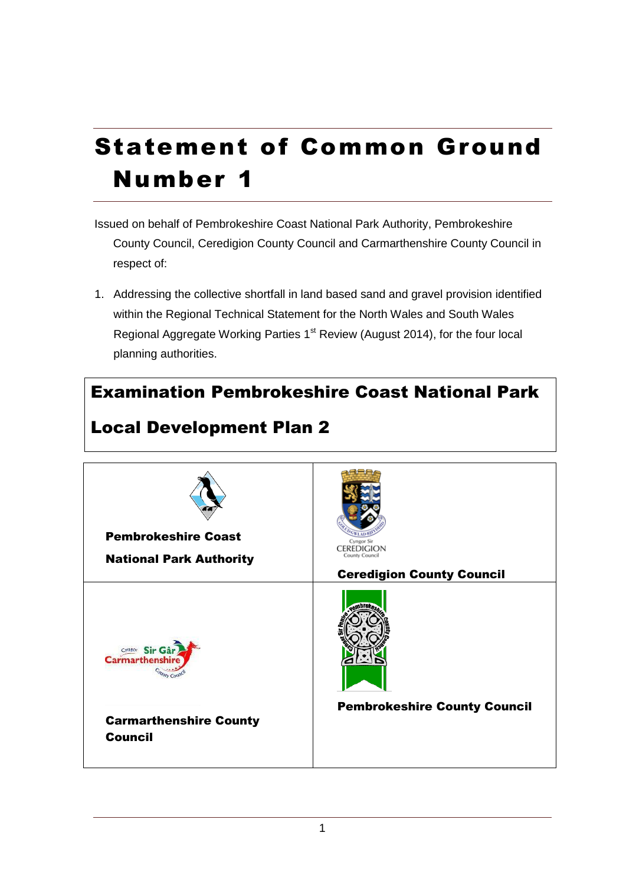# Statement of Common Ground Number 1

- Issued on behalf of Pembrokeshire Coast National Park Authority, Pembrokeshire County Council, Ceredigion County Council and Carmarthenshire County Council in respect of:
- 1. Addressing the collective shortfall in land based sand and gravel provision identified within the Regional Technical Statement for the North Wales and South Wales Regional Aggregate Working Parties 1<sup>st</sup> Review (August 2014), for the four local planning authorities.

## Examination Pembrokeshire Coast National Park



## Local Development Plan 2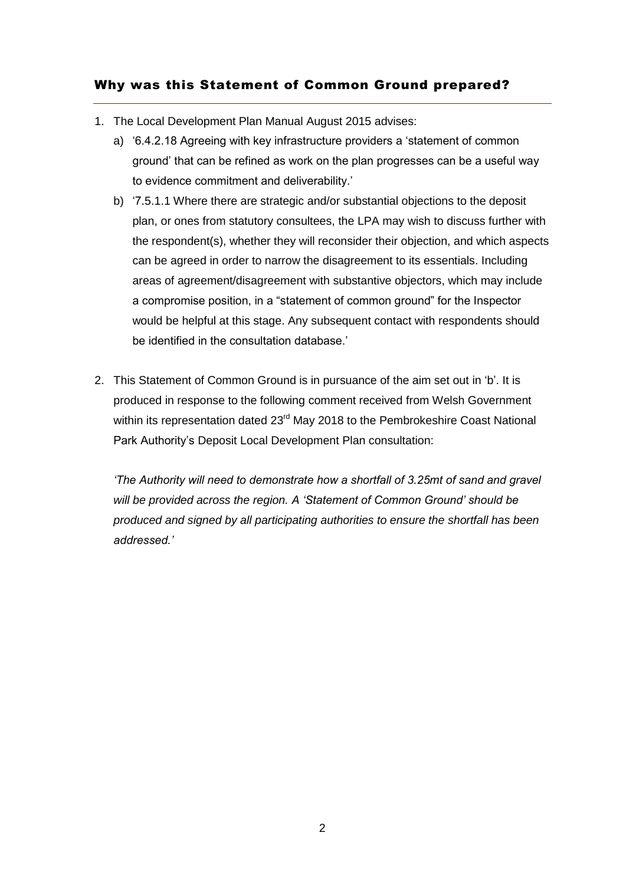### Why was this Statement of Common Ground prepared?

- 1. The Local Development Plan Manual August 2015 advises:
	- a) '6.4.2.18 Agreeing with key infrastructure providers a 'statement of common ground' that can be refined as work on the plan progresses can be a useful way to evidence commitment and deliverability.'
	- b) '7.5.1.1 Where there are strategic and/or substantial objections to the deposit plan, or ones from statutory consultees, the LPA may wish to discuss further with the respondent(s), whether they will reconsider their objection, and which aspects can be agreed in order to narrow the disagreement to its essentials. Including areas of agreement/disagreement with substantive objectors, which may include a compromise position, in a "statement of common ground" for the Inspector would be helpful at this stage. Any subsequent contact with respondents should be identified in the consultation database.'
- 2. This Statement of Common Ground is in pursuance of the aim set out in 'b'. It is produced in response to the following comment received from Welsh Government within its representation dated 23<sup>rd</sup> May 2018 to the Pembrokeshire Coast National Park Authority's Deposit Local Development Plan consultation:

*'The Authority will need to demonstrate how a shortfall of 3.25mt of sand and gravel will be provided across the region. A 'Statement of Common Ground' should be produced and signed by all participating authorities to ensure the shortfall has been addressed.'*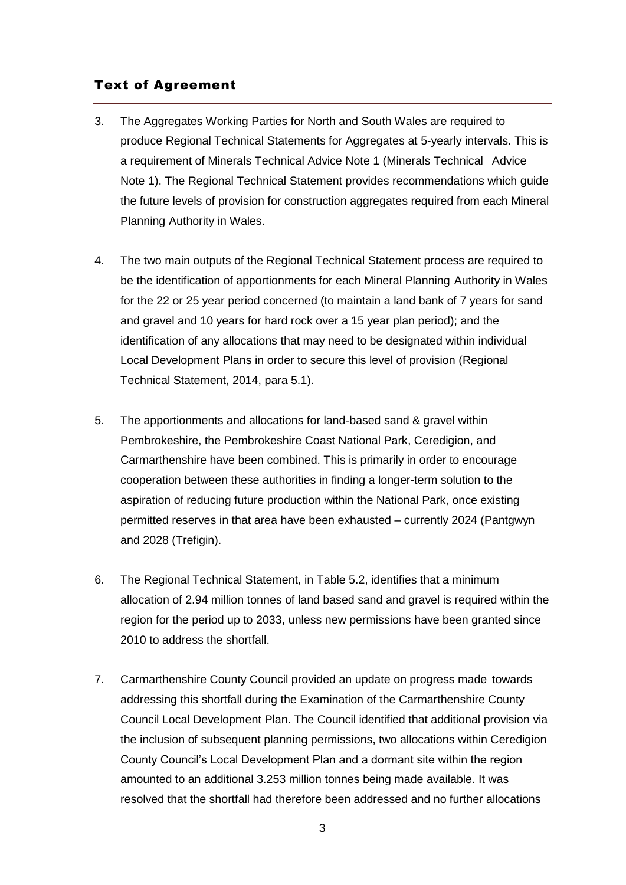#### Text of Agreement

- 3. The Aggregates Working Parties for North and South Wales are required to produce Regional Technical Statements for Aggregates at 5-yearly intervals. This is a requirement of Minerals Technical Advice Note 1 (Minerals Technical Advice Note 1). The Regional Technical Statement provides recommendations which guide the future levels of provision for construction aggregates required from each Mineral Planning Authority in Wales.
- 4. The two main outputs of the Regional Technical Statement process are required to be the identification of apportionments for each Mineral Planning Authority in Wales for the 22 or 25 year period concerned (to maintain a land bank of 7 years for sand and gravel and 10 years for hard rock over a 15 year plan period); and the identification of any allocations that may need to be designated within individual Local Development Plans in order to secure this level of provision (Regional Technical Statement, 2014, para 5.1).
- 5. The apportionments and allocations for land-based sand & gravel within Pembrokeshire, the Pembrokeshire Coast National Park, Ceredigion, and Carmarthenshire have been combined. This is primarily in order to encourage cooperation between these authorities in finding a longer-term solution to the aspiration of reducing future production within the National Park, once existing permitted reserves in that area have been exhausted – currently 2024 (Pantgwyn and 2028 (Trefigin).
- 6. The Regional Technical Statement, in Table 5.2, identifies that a minimum allocation of 2.94 million tonnes of land based sand and gravel is required within the region for the period up to 2033, unless new permissions have been granted since 2010 to address the shortfall.
- 7. Carmarthenshire County Council provided an update on progress made towards addressing this shortfall during the Examination of the Carmarthenshire County Council Local Development Plan. The Council identified that additional provision via the inclusion of subsequent planning permissions, two allocations within Ceredigion County Council's Local Development Plan and a dormant site within the region amounted to an additional 3.253 million tonnes being made available. It was resolved that the shortfall had therefore been addressed and no further allocations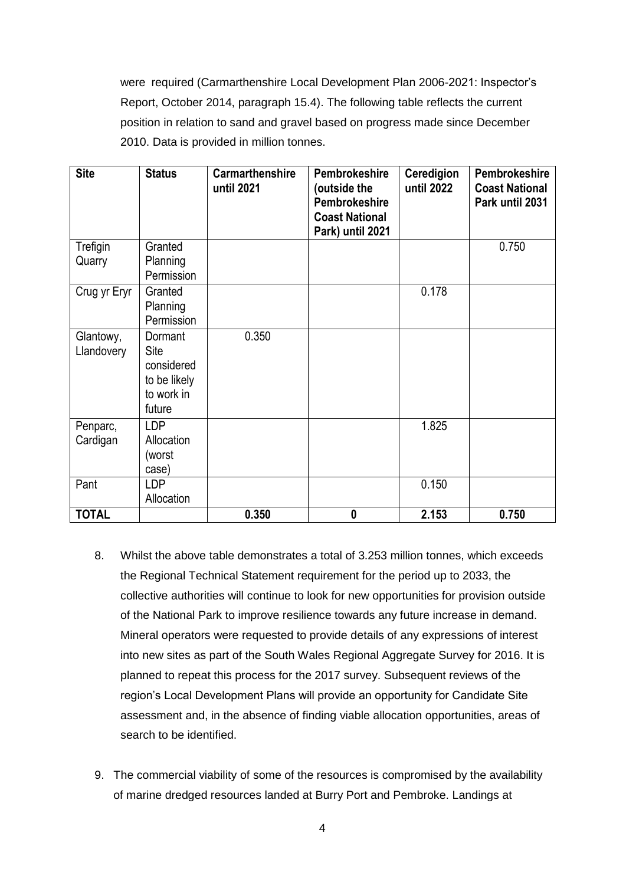were required (Carmarthenshire Local Development Plan 2006-2021: Inspector's Report, October 2014, paragraph 15.4). The following table reflects the current position in relation to sand and gravel based on progress made since December 2010. Data is provided in million tonnes.

| <b>Site</b>             | <b>Status</b>                                                         | <b>Carmarthenshire</b><br>until 2021 | Pembrokeshire<br>(outside the<br><b>Pembrokeshire</b><br><b>Coast National</b><br>Park) until 2021 | Ceredigion<br>until 2022 | Pembrokeshire<br><b>Coast National</b><br>Park until 2031 |
|-------------------------|-----------------------------------------------------------------------|--------------------------------------|----------------------------------------------------------------------------------------------------|--------------------------|-----------------------------------------------------------|
| Trefigin<br>Quarry      | Granted<br>Planning<br>Permission                                     |                                      |                                                                                                    |                          | 0.750                                                     |
| Crug yr Eryr            | Granted<br>Planning<br>Permission                                     |                                      |                                                                                                    | 0.178                    |                                                           |
| Glantowy,<br>Llandovery | Dormant<br>Site<br>considered<br>to be likely<br>to work in<br>future | 0.350                                |                                                                                                    |                          |                                                           |
| Penparc,<br>Cardigan    | <b>LDP</b><br>Allocation<br>(worst<br>case)                           |                                      |                                                                                                    | 1.825                    |                                                           |
| Pant                    | <b>LDP</b><br>Allocation                                              |                                      |                                                                                                    | 0.150                    |                                                           |
| <b>TOTAL</b>            |                                                                       | 0.350                                | $\bf{0}$                                                                                           | 2.153                    | 0.750                                                     |

- 8. Whilst the above table demonstrates a total of 3.253 million tonnes, which exceeds the Regional Technical Statement requirement for the period up to 2033, the collective authorities will continue to look for new opportunities for provision outside of the National Park to improve resilience towards any future increase in demand. Mineral operators were requested to provide details of any expressions of interest into new sites as part of the South Wales Regional Aggregate Survey for 2016. It is planned to repeat this process for the 2017 survey. Subsequent reviews of the region's Local Development Plans will provide an opportunity for Candidate Site assessment and, in the absence of finding viable allocation opportunities, areas of search to be identified.
- 9. The commercial viability of some of the resources is compromised by the availability of marine dredged resources landed at Burry Port and Pembroke. Landings at